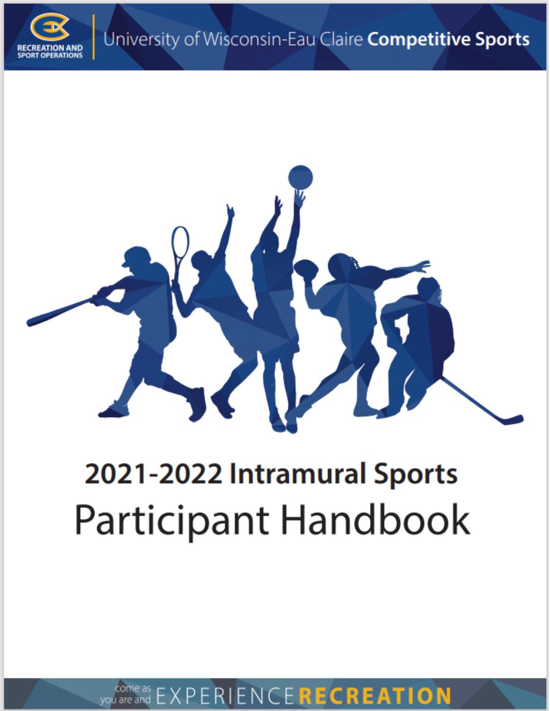



# 2021-2022 Intramural Sports Participant Handbook

you'are and EXPERIENCERECREATION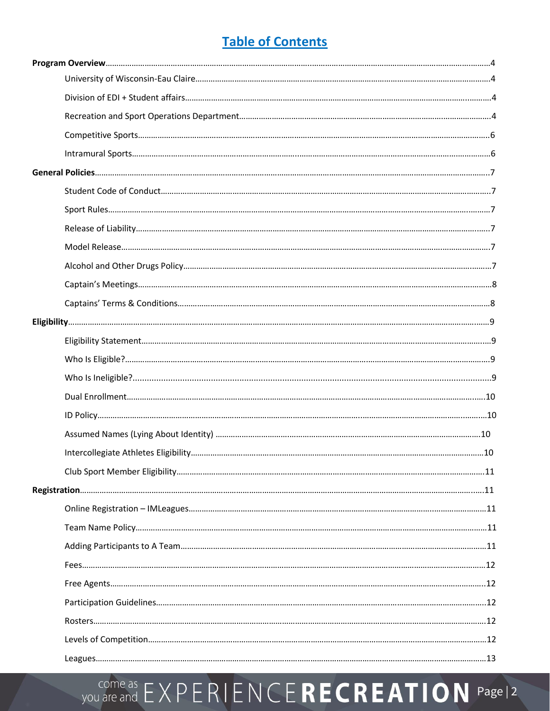# **Table of Contents**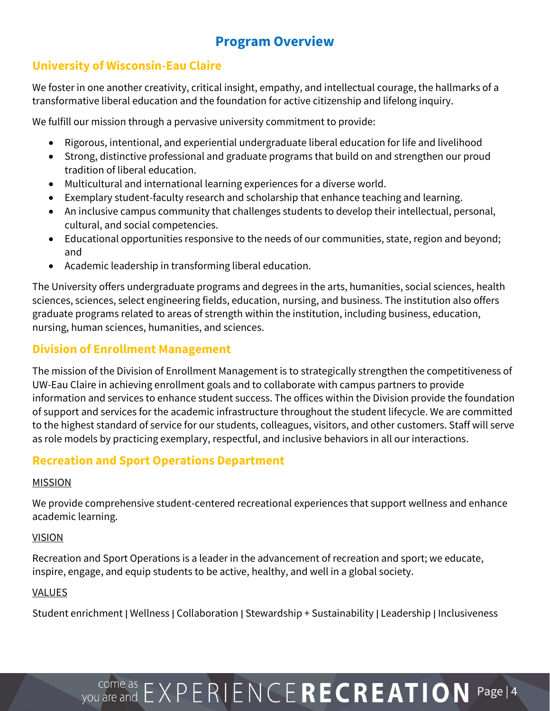## **Program Overview**

## **University of Wisconsin-Eau Claire**

We foster in one another creativity, critical insight, empathy, and intellectual courage, the hallmarks of a transformative liberal education and the foundation for active citizenship and lifelong inquiry.

We fulfill our mission through a pervasive university commitment to provide:

- Rigorous, intentional, and experiential undergraduate liberal education for life and livelihood
- Strong, distinctive professional and graduate programs that build on and strengthen our proud tradition of liberal education.
- Multicultural and international learning experiences for a diverse world.
- Exemplary student-faculty research and scholarship that enhance teaching and learning.
- An inclusive campus community that challenges students to develop their intellectual, personal, cultural, and social competencies.
- Educational opportunities responsive to the needs of our communities, state, region and beyond; and
- Academic leadership in transforming liberal education.

The University offers undergraduate programs and degrees in the arts, humanities, social sciences, health sciences, sciences, select engineering fields, education, nursing, and business. The institution also offers graduate programs related to areas of strength within the institution, including business, education, nursing, human sciences, humanities, and sciences.

## **Division of Enrollment Management**

The mission of the Division of Enrollment Management is to strategically strengthen the competitiveness of UW-Eau Claire in achieving enrollment goals and to collaborate with campus partners to provide information and services to enhance student success. The offices within the Division provide the foundation of support and services for the academic infrastructure throughout the student lifecycle. We are committed to the highest standard of service for our students, colleagues, visitors, and other customers. Staff will serve as role models by practicing exemplary, respectful, and inclusive behaviors in all our interactions.

## **Recreation and Sport Operations Department**

#### MISSION

We provide comprehensive student-centered recreational experiences that support wellness and enhance academic learning.

#### **VISION**

Recreation and Sport Operations is a leader in the advancement of recreation and sport; we educate, inspire, engage, and equip students to be active, healthy, and well in a global society.

### VALUES

Student enrichment | Wellness | Collaboration | Stewardship + Sustainability | Leadership | Inclusiveness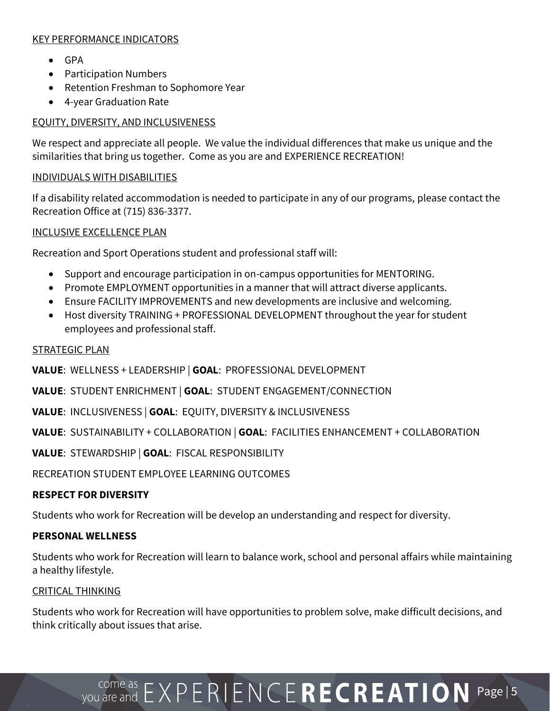#### KEY PERFORMANCE INDICATORS

- GPA
- Participation Numbers
- Retention Freshman to Sophomore Year
- 4-year Graduation Rate

### EQUITY, DIVERSITY, AND INCLUSIVENESS

We respect and appreciate all people. We value the individual differences that make us unique and the similarities that bring us together. Come as you are and EXPERIENCE RECREATION!

#### INDIVIDUALS WITH DISABILITIES

If a disability related accommodation is needed to participate in any of our programs, please contact the Recreation Office at (715) 836-3377.

INCLUSIVE EXCELLENCE PLAN

Recreation and Sport Operations student and professional staff will:

- Support and encourage participation in on-campus opportunities for MENTORING.
- Promote EMPLOYMENT opportunities in a manner that will attract diverse applicants.
- Ensure FACILITY IMPROVEMENTS and new developments are inclusive and welcoming.
- Host diversity TRAINING + PROFESSIONAL DEVELOPMENT throughout the year for student employees and professional staff.

#### STRATEGIC PLAN

**VALUE**: WELLNESS + LEADERSHIP | **GOAL**: PROFESSIONAL DEVELOPMENT

**VALUE**: STUDENT ENRICHMENT | **GOAL**: STUDENT ENGAGEMENT/CONNECTION

**VALUE**: INCLUSIVENESS | **GOAL**: EQUITY, DIVERSITY & INCLUSIVENESS

**VALUE**: SUSTAINABILITY + COLLABORATION | **GOAL**: FACILITIES ENHANCEMENT + COLLABORATION

**VALUE**: STEWARDSHIP | **GOAL**: FISCAL RESPONSIBILITY

RECREATION STUDENT EMPLOYEE LEARNING OUTCOMES

### **RESPECT FOR DIVERSITY**

Students who work for Recreation will be develop an understanding and respect for diversity.

### **PERSONAL WELLNESS**

Students who work for Recreation will learn to balance work, school and personal affairs while maintaining a healthy lifestyle.

#### CRITICAL THINKING

Students who work for Recreation will have opportunities to problem solve, make difficult decisions, and think critically about issues that arise.

# VOU are and  $EXPERIENCERECREATION$  Page | 5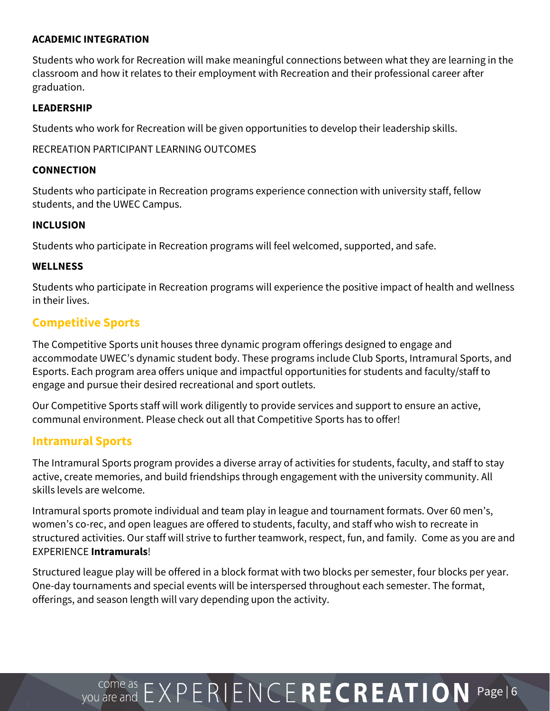#### **ACADEMIC INTEGRATION**

Students who work for Recreation will make meaningful connections between what they are learning in the classroom and how it relates to their employment with Recreation and their professional career after graduation.

#### **LEADERSHIP**

Students who work for Recreation will be given opportunities to develop their leadership skills.

RECREATION PARTICIPANT LEARNING OUTCOMES

#### **CONNECTION**

Students who participate in Recreation programs experience connection with university staff, fellow students, and the UWEC Campus.

#### **INCLUSION**

Students who participate in Recreation programs will feel welcomed, supported, and safe.

#### **WELLNESS**

Students who participate in Recreation programs will experience the positive impact of health and wellness in their lives.

### **Competitive Sports**

The Competitive Sports unit houses three dynamic program offerings designed to engage and accommodate UWEC's dynamic student body. These programs include Club Sports, Intramural Sports, and Esports. Each program area offers unique and impactful opportunities for students and faculty/staff to engage and pursue their desired recreational and sport outlets.

Our Competitive Sports staff will work diligently to provide services and support to ensure an active, communal environment. Please check out all that Competitive Sports has to offer!

### **Intramural Sports**

The Intramural Sports program provides a diverse array of activities for students, faculty, and staff to stay active, create memories, and build friendships through engagement with the university community. All skills levels are welcome.

Intramural sports promote individual and team play in league and tournament formats. Over 60 men's, women's co-rec, and open leagues are offered to students, faculty, and staff who wish to recreate in structured activities. Our staff will strive to further teamwork, respect, fun, and family. Come as you are and EXPERIENCE **Intramurals**!

Structured league play will be offered in a block format with two blocks per semester, four blocks per year. One-day tournaments and special events will be interspersed throughout each semester. The format, offerings, and season length will vary depending upon the activity.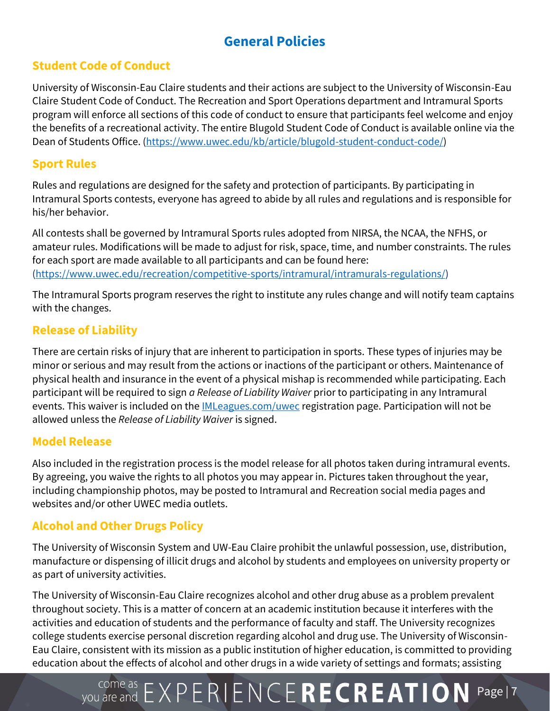# **General Policies**

## **Student Code of Conduct**

University of Wisconsin-Eau Claire students and their actions are subject to the University of Wisconsin-Eau Claire Student Code of Conduct. The Recreation and Sport Operations department and Intramural Sports program will enforce all sections of this code of conduct to ensure that participants feel welcome and enjoy the benefits of a recreational activity. The entire Blugold Student Code of Conduct is available online via the Dean of Students Office. [\(https://www.uwec.edu/kb/article/blugold-student-conduct-code/\)](https://www.uwec.edu/kb/article/blugold-student-conduct-code/)

## **Sport Rules**

Rules and regulations are designed for the safety and protection of participants. By participating in Intramural Sports contests, everyone has agreed to abide by all rules and regulations and is responsible for his/her behavior.

All contests shall be governed by Intramural Sports rules adopted from NIRSA, the NCAA, the NFHS, or amateur rules. Modifications will be made to adjust for risk, space, time, and number constraints. The rules for each sport are made available to all participants and can be found here: [\(https://www.uwec.edu/recreation/competitive-sports/intramural/intramurals-regulations/\)](https://www.uwec.edu/recreation/competitive-sports/intramural/intramurals-regulations/)

The Intramural Sports program reserves the right to institute any rules change and will notify team captains with the changes.

## **Release of Liability**

There are certain risks of injury that are inherent to participation in sports. These types of injuries may be minor or serious and may result from the actions or inactions of the participant or others. Maintenance of physical health and insurance in the event of a physical mishap is recommended while participating. Each participant will be required to sign *a Release of Liability Waiver* prior to participating in any Intramural events. This waiver is included on th[e IMLeagues.com/uwec](https://www.imleagues.com/spa/intramural/f82332387b3e445488425232f198060e/home) registration page. Participation will not be allowed unless the *Release of Liability Waiver* is signed.

## **Model Release**

Also included in the registration process is the model release for all photos taken during intramural events. By agreeing, you waive the rights to all photos you may appear in. Pictures taken throughout the year, including championship photos, may be posted to Intramural and Recreation social media pages and websites and/or other UWEC media outlets.

## **Alcohol and Other Drugs Policy**

The University of Wisconsin System and UW-Eau Claire prohibit the unlawful possession, use, distribution, manufacture or dispensing of illicit drugs and alcohol by students and employees on university property or as part of university activities.

The University of Wisconsin-Eau Claire recognizes alcohol and other drug abuse as a problem prevalent throughout society. This is a matter of concern at an academic institution because it interferes with the activities and education of students and the performance of faculty and staff. The University recognizes college students exercise personal discretion regarding alcohol and drug use. The University of Wisconsin-Eau Claire, consistent with its mission as a public institution of higher education, is committed to providing education about the effects of alcohol and other drugs in a wide variety of settings and formats; assisting

# VOU are and  $EXPERIENCERECREATION$  Page | 7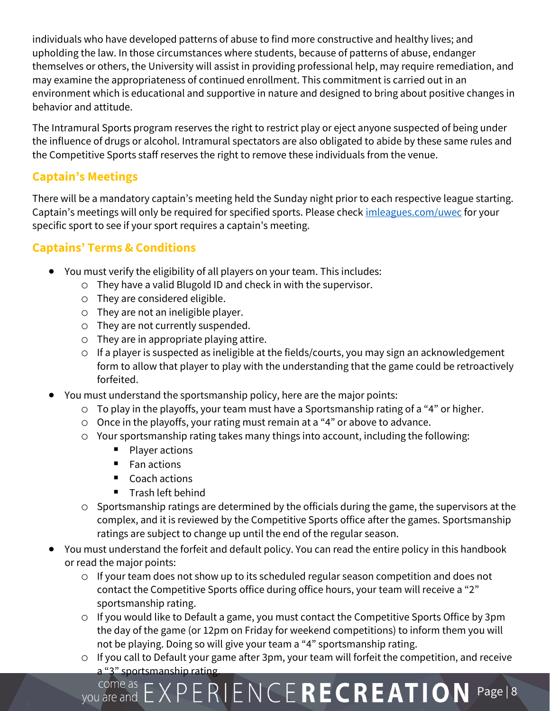individuals who have developed patterns of abuse to find more constructive and healthy lives; and upholding the law. In those circumstances where students, because of patterns of abuse, endanger themselves or others, the University will assist in providing professional help, may require remediation, and may examine the appropriateness of continued enrollment. This commitment is carried out in an environment which is educational and supportive in nature and designed to bring about positive changes in behavior and attitude.

The Intramural Sports program reserves the right to restrict play or eject anyone suspected of being under the influence of drugs or alcohol. Intramural spectators are also obligated to abide by these same rules and the Competitive Sports staff reserves the right to remove these individuals from the venue.

## **Captain's Meetings**

There will be a mandatory captain's meeting held the Sunday night prior to each respective league starting. Captain's meetings will only be required for specified sports. Please check *[imleagues.com/uwec](https://www.imleagues.com/spa/intramural/f82332387b3e445488425232f198060e/home)* for your specific sport to see if your sport requires a captain's meeting.

## **Captains' Terms & Conditions**

- You must verify the eligibility of all players on your team. This includes:
	- o They have a valid Blugold ID and check in with the supervisor.
	- o They are considered eligible.
	- o They are not an ineligible player.
	- o They are not currently suspended.
	- o They are in appropriate playing attire.
	- o If a player is suspected as ineligible at the fields/courts, you may sign an acknowledgement form to allow that player to play with the understanding that the game could be retroactively forfeited.
- You must understand the sportsmanship policy, here are the major points:
	- o To play in the playoffs, your team must have a Sportsmanship rating of a "4" or higher.
	- o Once in the playoffs, your rating must remain at a "4" or above to advance.
	- o Your sportsmanship rating takes many things into account, including the following:
		- Player actions
		- Fan actions
		- Coach actions
		- Trash left behind
	- o Sportsmanship ratings are determined by the officials during the game, the supervisors at the complex, and it is reviewed by the Competitive Sports office after the games. Sportsmanship ratings are subject to change up until the end of the regular season.
- You must understand the forfeit and default policy. You can read the entire policy in this handbook or read the major points:
	- o If your team does not show up to its scheduled regular season competition and does not contact the Competitive Sports office during office hours, your team will receive a "2" sportsmanship rating.
	- o If you would like to Default a game, you must contact the Competitive Sports Office by 3pm the day of the game (or 12pm on Friday for weekend competitions) to inform them you will not be playing. Doing so will give your team a "4" sportsmanship rating.
	- o If you call to Default your game after 3pm, your team will forfeit the competition, and receive a "3" sportsmanship rating.

# $P$  come as  $E$   $\times$   $P$   $E$   $R$   $I$   $E$   $N$   $C$   $E$   $R$   $E$   $C$   $R$   $E$   $A$   $T$   $I$   $O$   $N$   $P$ age  $|8$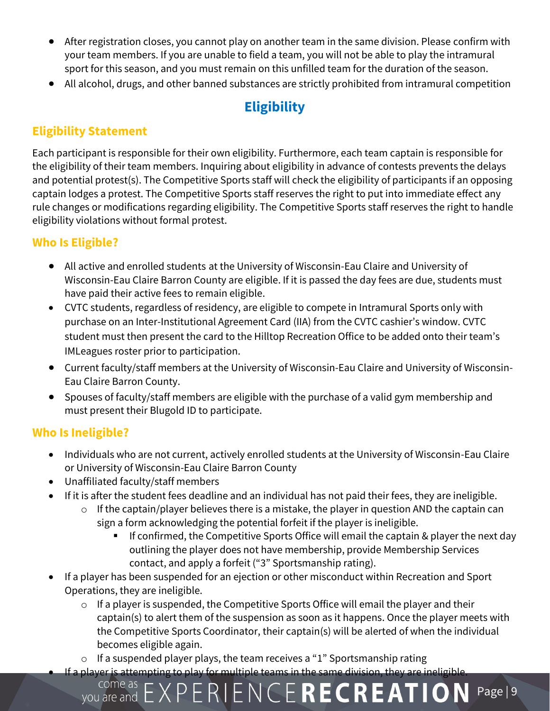- After registration closes, you cannot play on another team in the same division. Please confirm with your team members. If you are unable to field a team, you will not be able to play the intramural sport for this season, and you must remain on this unfilled team for the duration of the season.
- All alcohol, drugs, and other banned substances are strictly prohibited from intramural competition

# **Eligibility**

## **Eligibility Statement**

Each participant is responsible for their own eligibility. Furthermore, each team captain is responsible for the eligibility of their team members. Inquiring about eligibility in advance of contests prevents the delays and potential protest(s). The Competitive Sports staff will check the eligibility of participants if an opposing captain lodges a protest. The Competitive Sports staff reserves the right to put into immediate effect any rule changes or modifications regarding eligibility. The Competitive Sports staff reserves the right to handle eligibility violations without formal protest.

## **Who Is Eligible?**

- All active and enrolled students at the University of Wisconsin-Eau Claire and University of Wisconsin-Eau Claire Barron County are eligible. If it is passed the day fees are due, students must have paid their active fees to remain eligible.
- CVTC students, regardless of residency, are eligible to compete in Intramural Sports only with purchase on an Inter-Institutional Agreement Card (IIA) from the CVTC cashier's window. CVTC student must then present the card to the Hilltop Recreation Office to be added onto their team's IMLeagues roster prior to participation.
- Current faculty/staff members at the University of Wisconsin-Eau Claire and University of Wisconsin-Eau Claire Barron County.
- Spouses of faculty/staff members are eligible with the purchase of a valid gym membership and must present their Blugold ID to participate.

## **Who Is Ineligible?**

- Individuals who are not current, actively enrolled students at the University of Wisconsin-Eau Claire or University of Wisconsin-Eau Claire Barron County
- Unaffiliated faculty/staff members

come as

- If it is after the student fees deadline and an individual has not paid their fees, they are ineligible.
	- $\circ$  If the captain/player believes there is a mistake, the player in question AND the captain can sign a form acknowledging the potential forfeit if the player is ineligible.
		- If confirmed, the Competitive Sports Office will email the captain & player the next day outlining the player does not have membership, provide Membership Services contact, and apply a forfeit ("3" Sportsmanship rating).
- If a player has been suspended for an ejection or other misconduct within Recreation and Sport Operations, they are ineligible.
	- o If a player is suspended, the Competitive Sports Office will email the player and their captain(s) to alert them of the suspension as soon as it happens. Once the player meets with the Competitive Sports Coordinator, their captain(s) will be alerted of when the individual becomes eligible again.

you are and  $EXPERIENCERECREATION$  Page | 9

 $\circ$  If a suspended player plays, the team receives a "1" Sportsmanship rating If a player is attempting to play for multiple teams in the same division, they are ineligible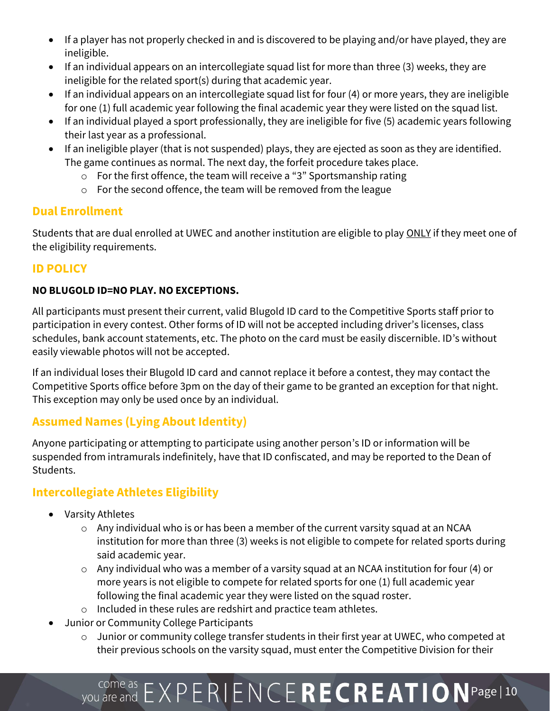- If a player has not properly checked in and is discovered to be playing and/or have played, they are ineligible.
- If an individual appears on an intercollegiate squad list for more than three (3) weeks, they are ineligible for the related sport(s) during that academic year.
- If an individual appears on an intercollegiate squad list for four (4) or more years, they are ineligible for one (1) full academic year following the final academic year they were listed on the squad list.
- If an individual played a sport professionally, they are ineligible for five (5) academic years following their last year as a professional.
- If an ineligible player (that is not suspended) plays, they are ejected as soon as they are identified. The game continues as normal. The next day, the forfeit procedure takes place.
	- o For the first offence, the team will receive a "3" Sportsmanship rating
	- o For the second offence, the team will be removed from the league

## **Dual Enrollment**

Students that are dual enrolled at UWEC and another institution are eligible to play ONLY if they meet one of the eligibility requirements.

## **ID POLICY**

## **NO BLUGOLD ID=NO PLAY. NO EXCEPTIONS.**

All participants must present their current, valid Blugold ID card to the Competitive Sports staff prior to participation in every contest. Other forms of ID will not be accepted including driver's licenses, class schedules, bank account statements, etc. The photo on the card must be easily discernible. ID's without easily viewable photos will not be accepted.

If an individual loses their Blugold ID card and cannot replace it before a contest, they may contact the Competitive Sports office before 3pm on the day of their game to be granted an exception for that night. This exception may only be used once by an individual.

## **Assumed Names (Lying About Identity)**

Anyone participating or attempting to participate using another person's ID or information will be suspended from intramurals indefinitely, have that ID confiscated, and may be reported to the Dean of Students.

## **Intercollegiate Athletes Eligibility**

- Varsity Athletes
	- o Any individual who is or has been a member of the current varsity squad at an NCAA institution for more than three (3) weeks is not eligible to compete for related sports during said academic year.
	- $\circ$  Any individual who was a member of a varsity squad at an NCAA institution for four (4) or more years is not eligible to compete for related sports for one (1) full academic year following the final academic year they were listed on the squad roster.
	- o Included in these rules are redshirt and practice team athletes.
- Junior or Community College Participants
	- o Junior or community college transfer students in their first year at UWEC, who competed at their previous schools on the varsity squad, must enter the Competitive Division for their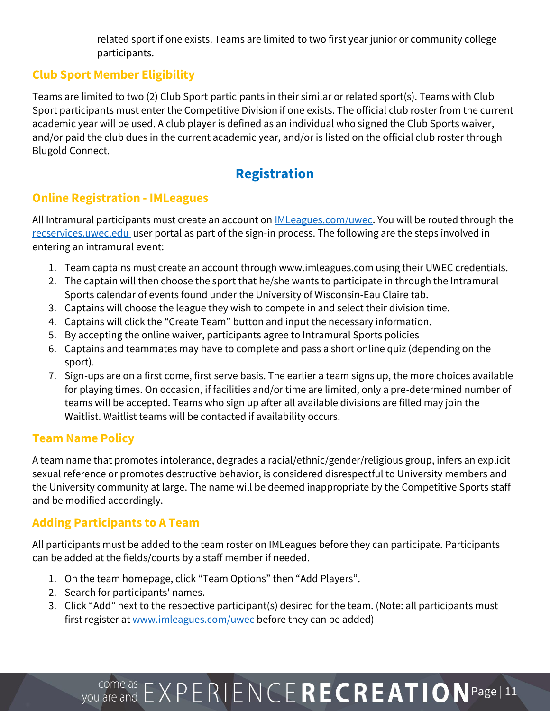related sport if one exists. Teams are limited to two first year junior or community college participants.

## **Club Sport Member Eligibility**

Teams are limited to two (2) Club Sport participants in their similar or related sport(s). Teams with Club Sport participants must enter the Competitive Division if one exists. The official club roster from the current academic year will be used. A club player is defined as an individual who signed the Club Sports waiver, and/or paid the club dues in the current academic year, and/or is listed on the official club roster through Blugold Connect.

# **Registration**

## **Online Registration - IMLeagues**

All Intramural participants must create an account on **IMLeagues.com/uwec**. You will be routed through the [recservices.uwec.edu](https://recservices.uwec.edu/) user portal as part of the sign-in process. The following are the steps involved in entering an intramural event:

- 1. Team captains must create an account through www.imleagues.com using their UWEC credentials.
- 2. The captain will then choose the sport that he/she wants to participate in through the Intramural Sports calendar of events found under the University of Wisconsin-Eau Claire tab.
- 3. Captains will choose the league they wish to compete in and select their division time.
- 4. Captains will click the "Create Team" button and input the necessary information.
- 5. By accepting the online waiver, participants agree to Intramural Sports policies
- 6. Captains and teammates may have to complete and pass a short online quiz (depending on the sport).
- 7. Sign-ups are on a first come, first serve basis. The earlier a team signs up, the more choices available for playing times. On occasion, if facilities and/or time are limited, only a pre-determined number of teams will be accepted. Teams who sign up after all available divisions are filled may join the Waitlist. Waitlist teams will be contacted if availability occurs.

## **Team Name Policy**

A team name that promotes intolerance, degrades a racial/ethnic/gender/religious group, infers an explicit sexual reference or promotes destructive behavior, is considered disrespectful to University members and the University community at large. The name will be deemed inappropriate by the Competitive Sports staff and be modified accordingly.

## **Adding Participants to A Team**

All participants must be added to the team roster on IMLeagues before they can participate. Participants can be added at the fields/courts by a staff member if needed.

- 1. On the team homepage, click "Team Options" then "Add Players".
- 2. Search for participants' names.
- 3. Click "Add" next to the respective participant(s) desired for the team. (Note: all participants must first register a[t www.imleagues.com/uwec](https://www.imleagues.com/spa/intramural/f82332387b3e445488425232f198060e/home) before they can be added)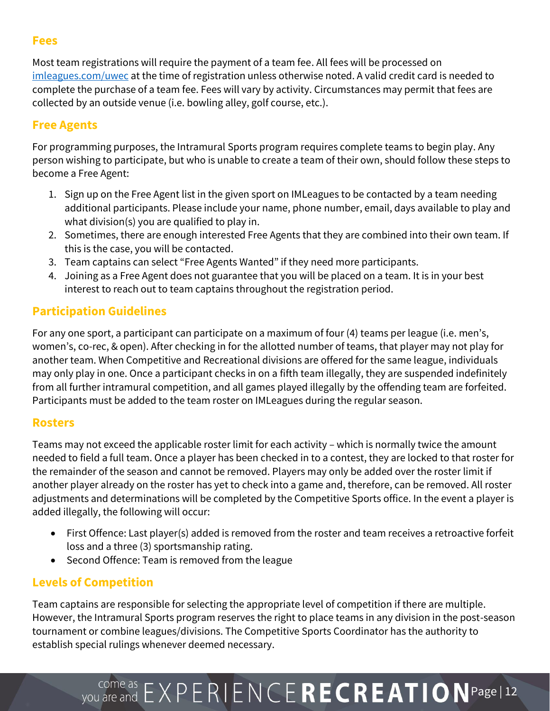## **Fees**

Most team registrations will require the payment of a team fee. All fees will be processed on [imleagues.com/uwec](https://www.imleagues.com/spa/intramural/f82332387b3e445488425232f198060e/home) at the time of registration unless otherwise noted. A valid credit card is needed to complete the purchase of a team fee. Fees will vary by activity. Circumstances may permit that fees are collected by an outside venue (i.e. bowling alley, golf course, etc.).

## **Free Agents**

For programming purposes, the Intramural Sports program requires complete teams to begin play. Any person wishing to participate, but who is unable to create a team of their own, should follow these steps to become a Free Agent:

- 1. Sign up on the Free Agent list in the given sport on IMLeagues to be contacted by a team needing additional participants. Please include your name, phone number, email, days available to play and what division(s) you are qualified to play in.
- 2. Sometimes, there are enough interested Free Agents that they are combined into their own team. If this is the case, you will be contacted.
- 3. Team captains can select "Free Agents Wanted" if they need more participants.
- 4. Joining as a Free Agent does not guarantee that you will be placed on a team. It is in your best interest to reach out to team captains throughout the registration period.

## **Participation Guidelines**

For any one sport, a participant can participate on a maximum of four (4) teams per league (i.e. men's, women's, co-rec, & open). After checking in for the allotted number of teams, that player may not play for another team. When Competitive and Recreational divisions are offered for the same league, individuals may only play in one. Once a participant checks in on a fifth team illegally, they are suspended indefinitely from all further intramural competition, and all games played illegally by the offending team are forfeited. Participants must be added to the team roster on IMLeagues during the regular season.

## **Rosters**

Teams may not exceed the applicable roster limit for each activity – which is normally twice the amount needed to field a full team. Once a player has been checked in to a contest, they are locked to that roster for the remainder of the season and cannot be removed. Players may only be added over the roster limit if another player already on the roster has yet to check into a game and, therefore, can be removed. All roster adjustments and determinations will be completed by the Competitive Sports office. In the event a player is added illegally, the following will occur:

- First Offence: Last player(s) added is removed from the roster and team receives a retroactive forfeit loss and a three (3) sportsmanship rating.
- Second Offence: Team is removed from the league

## **Levels of Competition**

Team captains are responsible for selecting the appropriate level of competition if there are multiple. However, the Intramural Sports program reserves the right to place teams in any division in the post-season tournament or combine leagues/divisions. The Competitive Sports Coordinator has the authority to establish special rulings whenever deemed necessary.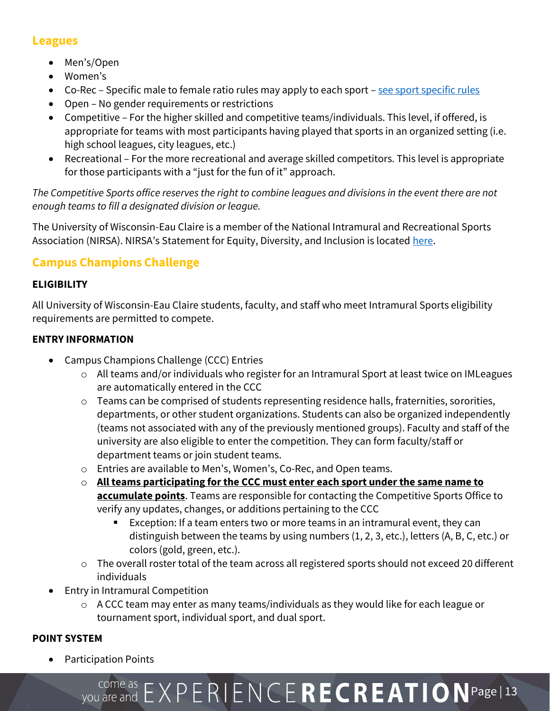## **Leagues**

- Men's/Open
- Women's
- Co-Rec Specific male to female ratio rules may apply to each sport [see sport specific rules](https://www.uwec.edu/recreation/competitive-sports/intramural/intramurals-regulations/)
- Open No gender requirements or restrictions
- Competitive For the higher skilled and competitive teams/individuals. This level, if offered, is appropriate for teams with most participants having played that sports in an organized setting (i.e. high school leagues, city leagues, etc.)
- Recreational For the more recreational and average skilled competitors. This level is appropriate for those participants with a "just for the fun of it" approach.

*The Competitive Sports office reserves the right to combine leagues and divisions in the event there are not enough teams to fill a designated division or league.* 

The University of Wisconsin-Eau Claire is a member of the National Intramural and Recreational Sports Association (NIRSA). NIRSA's Statement for Equity, Diversity, and Inclusion is located [here.](https://nirsa.net/nirsa/wp-content/uploads/nirsa-equity-diversity-inclusion-resource-guide-for-campus-recreation.pdf)

## **Campus Champions Challenge**

## **ELIGIBILITY**

All University of Wisconsin-Eau Claire students, faculty, and staff who meet Intramural Sports eligibility requirements are permitted to compete.

## **ENTRY INFORMATION**

- Campus Champions Challenge (CCC) Entries
	- o All teams and/or individuals who register for an Intramural Sport at least twice on IMLeagues are automatically entered in the CCC
	- o Teams can be comprised of students representing residence halls, fraternities, sororities, departments, or other student organizations. Students can also be organized independently (teams not associated with any of the previously mentioned groups). Faculty and staff of the university are also eligible to enter the competition. They can form faculty/staff or department teams or join student teams.
	- o Entries are available to Men's, Women's, Co-Rec, and Open teams.
	- o **All teams participating for the CCC must enter each sport under the same name to accumulate points**. Teams are responsible for contacting the Competitive Sports Office to verify any updates, changes, or additions pertaining to the CCC
		- Exception: If a team enters two or more teams in an intramural event, they can distinguish between the teams by using numbers (1, 2, 3, etc.), letters (A, B, C, etc.) or colors (gold, green, etc.).
	- o The overall roster total of the team across all registered sports should not exceed 20 different individuals
- Entry in Intramural Competition
	- o A CCC team may enter as many teams/individuals as they would like for each league or tournament sport, individual sport, and dual sport.

## **POINT SYSTEM**

• Participation Points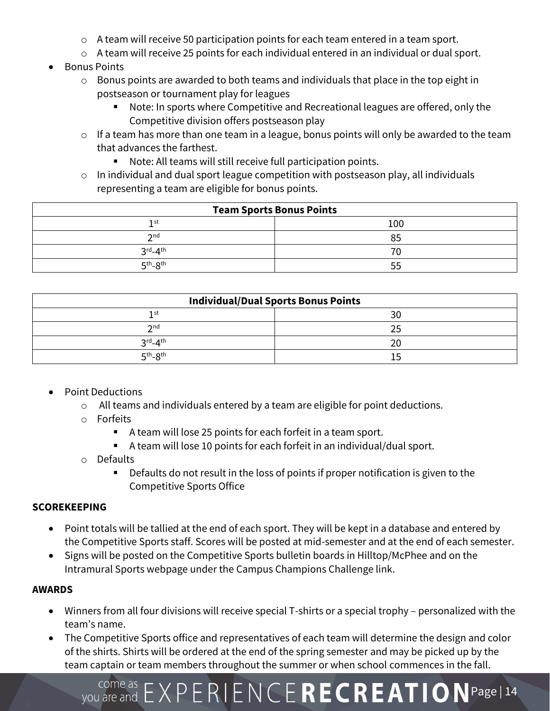- o A team will receive 50 participation points for each team entered in a team sport.
- o A team will receive 25 points for each individual entered in an individual or dual sport.
- Bonus Points
	- o Bonus points are awarded to both teams and individuals that place in the top eight in postseason or tournament play for leagues
		- Note: In sports where Competitive and Recreational leagues are offered, only the Competitive division offers postseason play
	- $\circ$  If a team has more than one team in a league, bonus points will only be awarded to the team that advances the farthest.
		- Note: All teams will still receive full participation points.
	- $\circ$  In individual and dual sport league competition with postseason play, all individuals representing a team are eligible for bonus points.

| <b>Team Sports Bonus Points</b> |     |  |
|---------------------------------|-----|--|
| 1 st                            | 100 |  |
| $\mathcal{D}$ nd                |     |  |
| $3^{\text{rd}} - 4^{\text{th}}$ |     |  |
| $5th - 8th$                     | 55  |  |

| <b>Individual/Dual Sports Bonus Points</b> |    |  |
|--------------------------------------------|----|--|
| 1 st                                       | 30 |  |
| $\mathcal{D}$ nd                           |    |  |
| $3^{\text{rd}} - 4^{\text{th}}$            |    |  |
| $5th-8th$                                  |    |  |

- Point Deductions
	- o All teams and individuals entered by a team are eligible for point deductions.
	- o Forfeits
		- A team will lose 25 points for each forfeit in a team sport.
		- A team will lose 10 points for each forfeit in an individual/dual sport.
	- o Defaults
		- Defaults do not result in the loss of points if proper notification is given to the Competitive Sports Office

### **SCOREKEEPING**

- Point totals will be tallied at the end of each sport. They will be kept in a database and entered by the Competitive Sports staff. Scores will be posted at mid-semester and at the end of each semester.
- Signs will be posted on the Competitive Sports bulletin boards in Hilltop/McPhee and on the Intramural Sports webpage under the Campus Champions Challenge link.

### **AWARDS**

- Winners from all four divisions will receive special T-shirts or a special trophy personalized with the team's name.
- The Competitive Sports office and representatives of each team will determine the design and color of the shirts. Shirts will be ordered at the end of the spring semester and may be picked up by the team captain or team members throughout the summer or when school commences in the fall.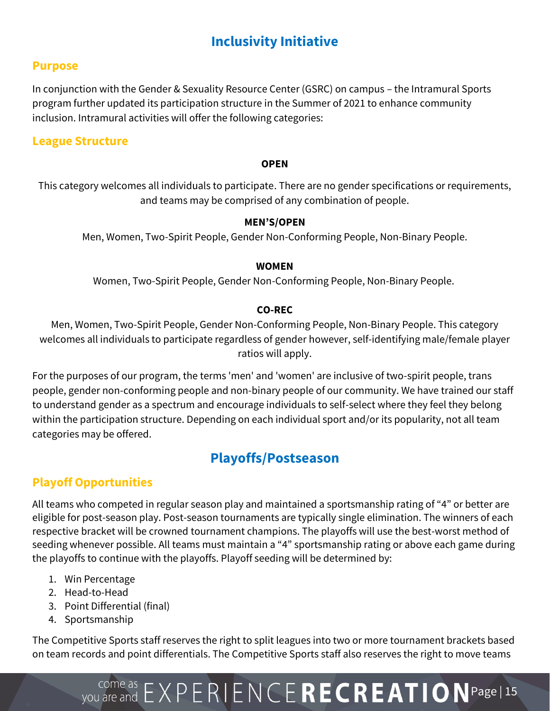# **Inclusivity Initiative**

### **Purpose**

In conjunction with the Gender & Sexuality Resource Center (GSRC) on campus – the Intramural Sports program further updated its participation structure in the Summer of 2021 to enhance community inclusion. Intramural activities will offer the following categories:

### **League Structure**

#### **OPEN**

This category welcomes all individuals to participate. There are no gender specifications or requirements, and teams may be comprised of any combination of people.

#### **MEN'S/OPEN**

Men, Women, Two-Spirit People, Gender Non-Conforming People, Non-Binary People.

#### **WOMEN**

Women, Two-Spirit People, Gender Non-Conforming People, Non-Binary People.

### **CO-REC**

Men, Women, Two-Spirit People, Gender Non-Conforming People, Non-Binary People. This category welcomes all individuals to participate regardless of gender however, self-identifying male/female player ratios will apply.

For the purposes of our program, the terms 'men' and 'women' are inclusive of two-spirit people, trans people, gender non-conforming people and non-binary people of our community. We have trained our staff to understand gender as a spectrum and encourage individuals to self-select where they feel they belong within the participation structure. Depending on each individual sport and/or its popularity, not all team categories may be offered.

## **Playoffs/Postseason**

## **Playoff Opportunities**

All teams who competed in regular season play and maintained a sportsmanship rating of "4" or better are eligible for post-season play. Post-season tournaments are typically single elimination. The winners of each respective bracket will be crowned tournament champions. The playoffs will use the best-worst method of seeding whenever possible. All teams must maintain a "4" sportsmanship rating or above each game during the playoffs to continue with the playoffs. Playoff seeding will be determined by:

- 1. Win Percentage
- 2. Head-to-Head
- 3. Point Differential (final)
- 4. Sportsmanship

The Competitive Sports staff reserves the right to split leagues into two or more tournament brackets based on team records and point differentials. The Competitive Sports staff also reserves the right to move teams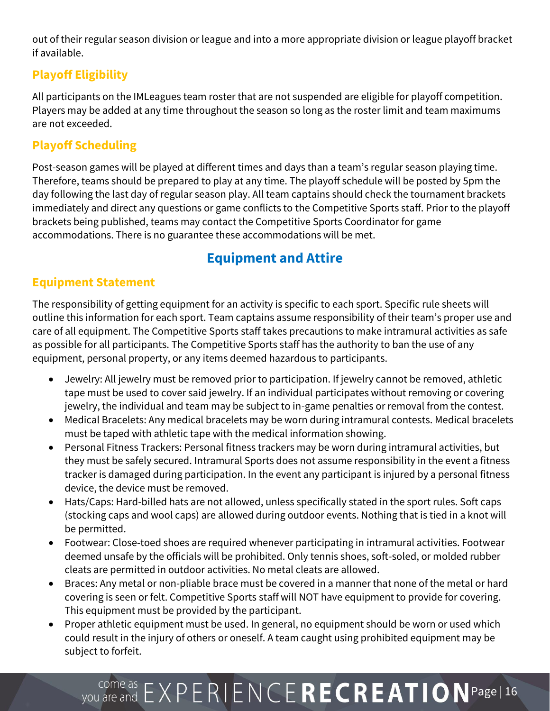out of their regular season division or league and into a more appropriate division or league playoff bracket if available.

## **Playoff Eligibility**

All participants on the IMLeagues team roster that are not suspended are eligible for playoff competition. Players may be added at any time throughout the season so long as the roster limit and team maximums are not exceeded.

## **Playoff Scheduling**

Post-season games will be played at different times and days than a team's regular season playing time. Therefore, teams should be prepared to play at any time. The playoff schedule will be posted by 5pm the day following the last day of regular season play. All team captains should check the tournament brackets immediately and direct any questions or game conflicts to the Competitive Sports staff. Prior to the playoff brackets being published, teams may contact the Competitive Sports Coordinator for game accommodations. There is no guarantee these accommodations will be met.

# **Equipment and Attire**

## **Equipment Statement**

The responsibility of getting equipment for an activity is specific to each sport. Specific rule sheets will outline this information for each sport. Team captains assume responsibility of their team's proper use and care of all equipment. The Competitive Sports staff takes precautions to make intramural activities as safe as possible for all participants. The Competitive Sports staff has the authority to ban the use of any equipment, personal property, or any items deemed hazardous to participants.

- Jewelry: All jewelry must be removed prior to participation. If jewelry cannot be removed, athletic tape must be used to cover said jewelry. If an individual participates without removing or covering jewelry, the individual and team may be subject to in-game penalties or removal from the contest.
- Medical Bracelets: Any medical bracelets may be worn during intramural contests. Medical bracelets must be taped with athletic tape with the medical information showing.
- Personal Fitness Trackers: Personal fitness trackers may be worn during intramural activities, but they must be safely secured. Intramural Sports does not assume responsibility in the event a fitness tracker is damaged during participation. In the event any participant is injured by a personal fitness device, the device must be removed.
- Hats/Caps: Hard-billed hats are not allowed, unless specifically stated in the sport rules. Soft caps (stocking caps and wool caps) are allowed during outdoor events. Nothing that is tied in a knot will be permitted.
- Footwear: Close-toed shoes are required whenever participating in intramural activities. Footwear deemed unsafe by the officials will be prohibited. Only tennis shoes, soft-soled, or molded rubber cleats are permitted in outdoor activities. No metal cleats are allowed.
- Braces: Any metal or non-pliable brace must be covered in a manner that none of the metal or hard covering is seen or felt. Competitive Sports staff will NOT have equipment to provide for covering. This equipment must be provided by the participant.
- Proper athletic equipment must be used. In general, no equipment should be worn or used which could result in the injury of others or oneself. A team caught using prohibited equipment may be subject to forfeit.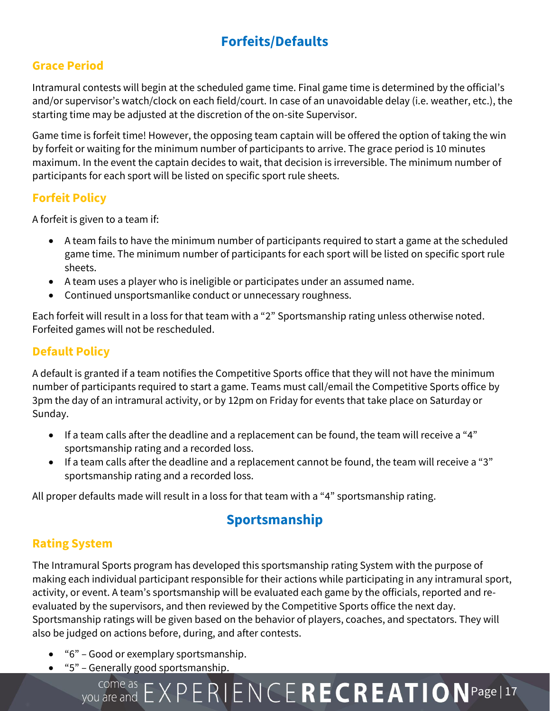# **Forfeits/Defaults**

## **Grace Period**

Intramural contests will begin at the scheduled game time. Final game time is determined by the official's and/or supervisor's watch/clock on each field/court. In case of an unavoidable delay (i.e. weather, etc.), the starting time may be adjusted at the discretion of the on-site Supervisor.

Game time is forfeit time! However, the opposing team captain will be offered the option of taking the win by forfeit or waiting for the minimum number of participants to arrive. The grace period is 10 minutes maximum. In the event the captain decides to wait, that decision is irreversible. The minimum number of participants for each sport will be listed on specific sport rule sheets.

## **Forfeit Policy**

A forfeit is given to a team if:

- A team fails to have the minimum number of participants required to start a game at the scheduled game time. The minimum number of participants for each sport will be listed on specific sport rule sheets.
- A team uses a player who is ineligible or participates under an assumed name.
- Continued unsportsmanlike conduct or unnecessary roughness.

Each forfeit will result in a loss for that team with a "2" Sportsmanship rating unless otherwise noted. Forfeited games will not be rescheduled.

## **Default Policy**

A default is granted if a team notifies the Competitive Sports office that they will not have the minimum number of participants required to start a game. Teams must call/email the Competitive Sports office by 3pm the day of an intramural activity, or by 12pm on Friday for events that take place on Saturday or Sunday.

- If a team calls after the deadline and a replacement can be found, the team will receive a "4" sportsmanship rating and a recorded loss.
- If a team calls after the deadline and a replacement cannot be found, the team will receive a "3" sportsmanship rating and a recorded loss.

All proper defaults made will result in a loss for that team with a "4" sportsmanship rating.

# **Sportsmanship**

## **Rating System**

The Intramural Sports program has developed this sportsmanship rating System with the purpose of making each individual participant responsible for their actions while participating in any intramural sport, activity, or event. A team's sportsmanship will be evaluated each game by the officials, reported and reevaluated by the supervisors, and then reviewed by the Competitive Sports office the next day. Sportsmanship ratings will be given based on the behavior of players, coaches, and spectators. They will also be judged on actions before, during, and after contests.

- "6" Good or exemplary sportsmanship.
- "5" Generally good sportsmanship.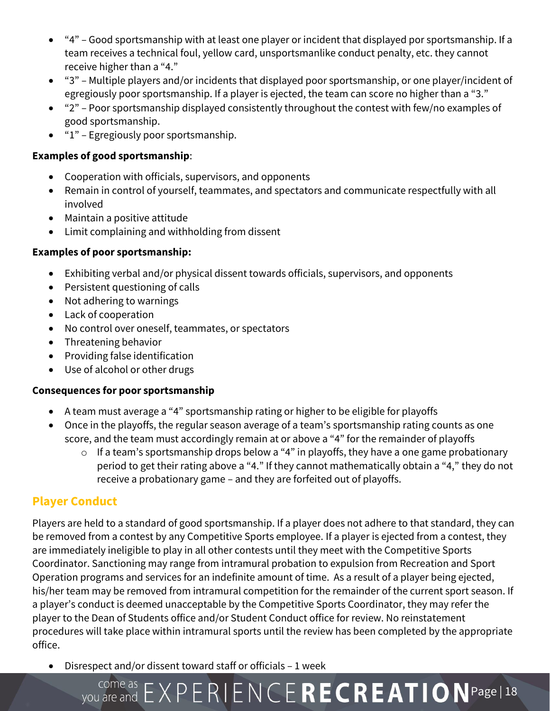- "4" Good sportsmanship with at least one player or incident that displayed por sportsmanship. If a team receives a technical foul, yellow card, unsportsmanlike conduct penalty, etc. they cannot receive higher than a "4."
- "3" Multiple players and/or incidents that displayed poor sportsmanship, or one player/incident of egregiously poor sportsmanship. If a player is ejected, the team can score no higher than a "3."
- "2" Poor sportsmanship displayed consistently throughout the contest with few/no examples of good sportsmanship.
- "1" Egregiously poor sportsmanship.

### **Examples of good sportsmanship**:

- Cooperation with officials, supervisors, and opponents
- Remain in control of yourself, teammates, and spectators and communicate respectfully with all involved
- Maintain a positive attitude
- Limit complaining and withholding from dissent

### **Examples of poor sportsmanship:**

- Exhibiting verbal and/or physical dissent towards officials, supervisors, and opponents
- Persistent questioning of calls
- Not adhering to warnings
- Lack of cooperation
- No control over oneself, teammates, or spectators
- Threatening behavior
- Providing false identification
- Use of alcohol or other drugs

### **Consequences for poor sportsmanship**

- A team must average a "4" sportsmanship rating or higher to be eligible for playoffs
- Once in the playoffs, the regular season average of a team's sportsmanship rating counts as one score, and the team must accordingly remain at or above a "4" for the remainder of playoffs
	- $\circ$  If a team's sportsmanship drops below a "4" in playoffs, they have a one game probationary period to get their rating above a "4." If they cannot mathematically obtain a "4," they do not receive a probationary game – and they are forfeited out of playoffs.

## **Player Conduct**

Players are held to a standard of good sportsmanship. If a player does not adhere to that standard, they can be removed from a contest by any Competitive Sports employee. If a player is ejected from a contest, they are immediately ineligible to play in all other contests until they meet with the Competitive Sports Coordinator. Sanctioning may range from intramural probation to expulsion from Recreation and Sport Operation programs and services for an indefinite amount of time. As a result of a player being ejected, his/her team may be removed from intramural competition for the remainder of the current sport season. If a player's conduct is deemed unacceptable by the Competitive Sports Coordinator, they may refer the player to the Dean of Students office and/or Student Conduct office for review. No reinstatement procedures will take place within intramural sports until the review has been completed by the appropriate office.

• Disrespect and/or dissent toward staff or officials – 1 week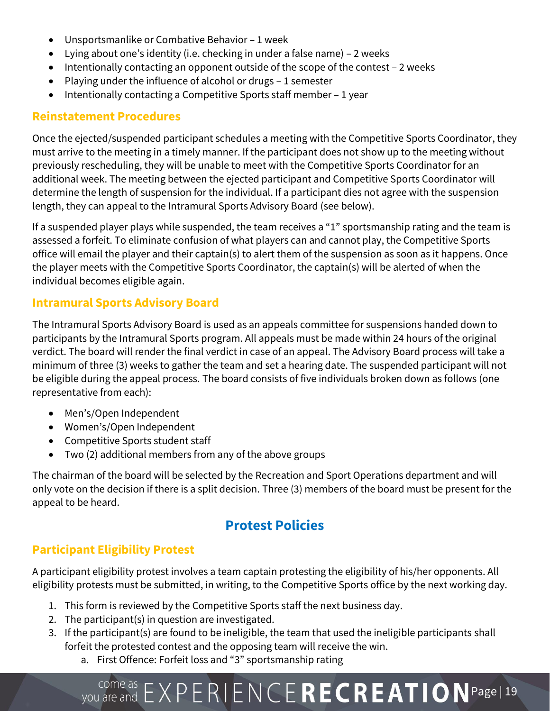- Unsportsmanlike or Combative Behavior 1 week
- Lying about one's identity (i.e. checking in under a false name) 2 weeks
- Intentionally contacting an opponent outside of the scope of the contest 2 weeks
- Playing under the influence of alcohol or drugs 1 semester
- Intentionally contacting a Competitive Sports staff member 1 year

### **Reinstatement Procedures**

Once the ejected/suspended participant schedules a meeting with the Competitive Sports Coordinator, they must arrive to the meeting in a timely manner. If the participant does not show up to the meeting without previously rescheduling, they will be unable to meet with the Competitive Sports Coordinator for an additional week. The meeting between the ejected participant and Competitive Sports Coordinator will determine the length of suspension for the individual. If a participant dies not agree with the suspension length, they can appeal to the Intramural Sports Advisory Board (see below).

If a suspended player plays while suspended, the team receives a "1" sportsmanship rating and the team is assessed a forfeit. To eliminate confusion of what players can and cannot play, the Competitive Sports office will email the player and their captain(s) to alert them of the suspension as soon as it happens. Once the player meets with the Competitive Sports Coordinator, the captain(s) will be alerted of when the individual becomes eligible again.

## **Intramural Sports Advisory Board**

The Intramural Sports Advisory Board is used as an appeals committee for suspensions handed down to participants by the Intramural Sports program. All appeals must be made within 24 hours of the original verdict. The board will render the final verdict in case of an appeal. The Advisory Board process will take a minimum of three (3) weeks to gather the team and set a hearing date. The suspended participant will not be eligible during the appeal process. The board consists of five individuals broken down as follows (one representative from each):

- Men's/Open Independent
- Women's/Open Independent
- Competitive Sports student staff
- Two (2) additional members from any of the above groups

The chairman of the board will be selected by the Recreation and Sport Operations department and will only vote on the decision if there is a split decision. Three (3) members of the board must be present for the appeal to be heard.

## **Protest Policies**

## **Participant Eligibility Protest**

A participant eligibility protest involves a team captain protesting the eligibility of his/her opponents. All eligibility protests must be submitted, in writing, to the Competitive Sports office by the next working day.

- 1. This form is reviewed by the Competitive Sports staff the next business day.
- 2. The participant(s) in question are investigated.
- 3. If the participant(s) are found to be ineligible, the team that used the ineligible participants shall forfeit the protested contest and the opposing team will receive the win.
	- a. First Offence: Forfeit loss and "3" sportsmanship rating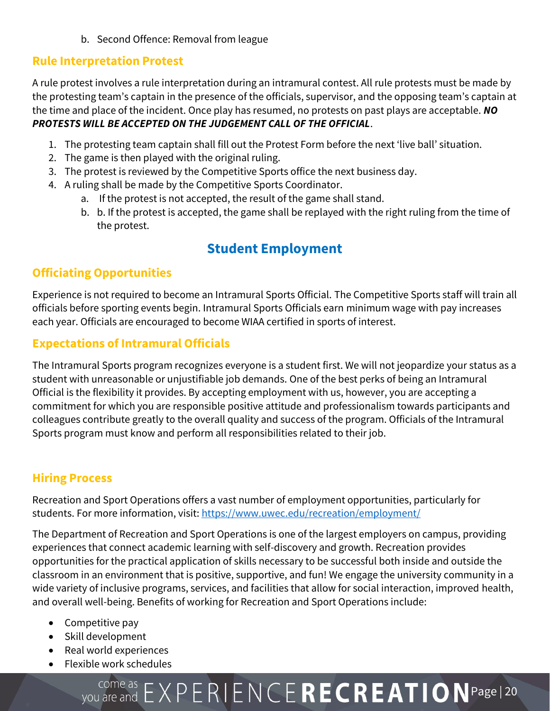b. Second Offence: Removal from league

## **Rule Interpretation Protest**

A rule protest involves a rule interpretation during an intramural contest. All rule protests must be made by the protesting team's captain in the presence of the officials, supervisor, and the opposing team's captain at the time and place of the incident. Once play has resumed, no protests on past plays are acceptable. *NO PROTESTS WILL BE ACCEPTED ON THE JUDGEMENT CALL OF THE OFFICIAL*.

- 1. The protesting team captain shall fill out the Protest Form before the next 'live ball' situation.
- 2. The game is then played with the original ruling.
- 3. The protest is reviewed by the Competitive Sports office the next business day.
- 4. A ruling shall be made by the Competitive Sports Coordinator.
	- a. If the protest is not accepted, the result of the game shall stand.
	- b. b. If the protest is accepted, the game shall be replayed with the right ruling from the time of the protest.

# **Student Employment**

## **Officiating Opportunities**

Experience is not required to become an Intramural Sports Official. The Competitive Sports staff will train all officials before sporting events begin. Intramural Sports Officials earn minimum wage with pay increases each year. Officials are encouraged to become WIAA certified in sports of interest.

## **Expectations of Intramural Officials**

The Intramural Sports program recognizes everyone is a student first. We will not jeopardize your status as a student with unreasonable or unjustifiable job demands. One of the best perks of being an Intramural Official is the flexibility it provides. By accepting employment with us, however, you are accepting a commitment for which you are responsible positive attitude and professionalism towards participants and colleagues contribute greatly to the overall quality and success of the program. Officials of the Intramural Sports program must know and perform all responsibilities related to their job.

## **Hiring Process**

Recreation and Sport Operations offers a vast number of employment opportunities, particularly for students. For more information, visit[: https://www.uwec.edu/recreation/employment/](https://www.uwec.edu/recreation/employment/)

The Department of Recreation and Sport Operations is one of the largest employers on campus, providing experiences that connect academic learning with self-discovery and growth. Recreation provides opportunities for the practical application of skills necessary to be successful both inside and outside the classroom in an environment that is positive, supportive, and fun! We engage the university community in a wide variety of inclusive programs, services, and facilities that allow for social interaction, improved health, and overall well-being. Benefits of working for Recreation and Sport Operations include:

- Competitive pay
- Skill development
- Real world experiences
- Flexible work schedules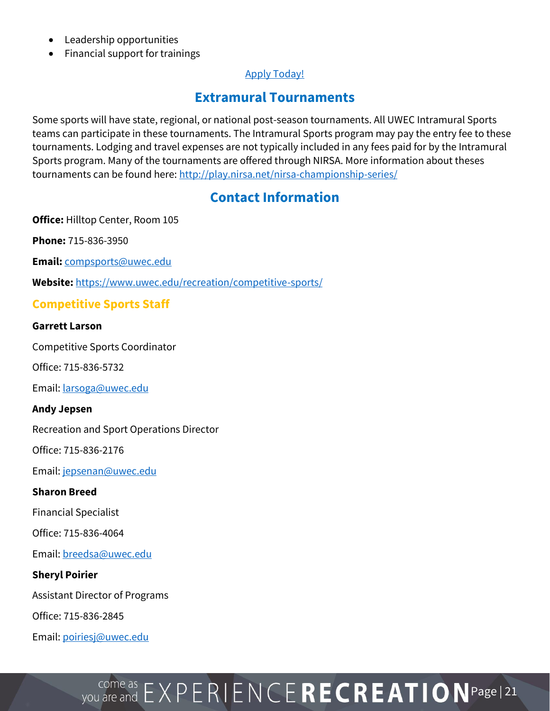- Leadership opportunities
- Financial support for trainings

## [Apply Today!](https://uweauclaire.qualtrics.com/jfe/form/SV_7Qy34rR0CKg0GJD?Q_JFE=qdg)

## **Extramural Tournaments**

Some sports will have state, regional, or national post-season tournaments. All UWEC Intramural Sports teams can participate in these tournaments. The Intramural Sports program may pay the entry fee to these tournaments. Lodging and travel expenses are not typically included in any fees paid for by the Intramural Sports program. Many of the tournaments are offered through NIRSA. More information about theses tournaments can be found here[: http://play.nirsa.net/nirsa-championship-series/](http://play.nirsa.net/nirsa-championship-series/)

## **Contact Information**

**Office:** Hilltop Center, Room 105

**Phone:** 715-836-3950

**Email:** [compsports@uwec.edu](mailto:compsports@uwec.edu)

**Website:** <https://www.uwec.edu/recreation/competitive-sports/>

## **Competitive Sports Staff**

#### **Garrett Larson**

Competitive Sports Coordinator

Office: 715-836-5732

Email[: larsoga@uwec.edu](mailto:larsoga@uwec.edu)

#### **Andy Jepsen**

Recreation and Sport Operations Director

Office: 715-836-2176

Email[: jepsenan@uwec.edu](mailto:jepsenan@uwec.edu)

#### **Sharon Breed**

Financial Specialist

Office: 715-836-4064

Email[: breedsa@uwec.edu](mailto:breedsa@uwec.edu)

#### **Sheryl Poirier**

Assistant Director of Programs

Office: 715-836-2845

Email[: poiriesj@uwec.edu](mailto:poiriesj@uwec.edu)

# $P_{\text{you are and}}$   $E \times P$   $E$   $R$   $I$   $E \cap C$   $E$   $R$   $E$   $C$   $R$   $E$   $A$   $T$   $I$   $O$   $N$   $P$ age  $|21$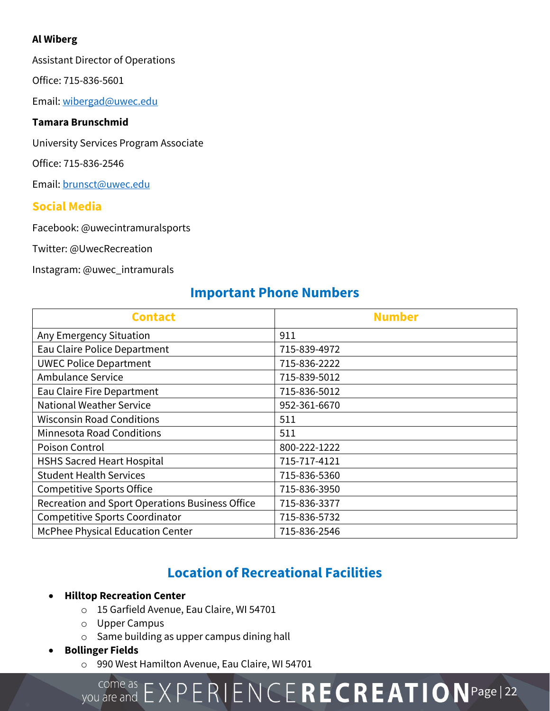## **Al Wiberg**

Assistant Director of Operations

Office: 715-836-5601

Email[: wibergad@uwec.edu](mailto:wibergad@uwec.edu)

## **Tamara Brunschmid**

University Services Program Associate

Office: 715-836-2546

Email[: brunsct@uwec.edu](mailto:brunsct@uwec.edu)

## **Social Media**

Facebook: @uwecintramuralsports

Twitter: @UwecRecreation

Instagram: @uwec\_intramurals

# **Important Phone Numbers**

| <b>Contact</b>                                  | <b>Number</b> |
|-------------------------------------------------|---------------|
| Any Emergency Situation                         | 911           |
| Eau Claire Police Department                    | 715-839-4972  |
| <b>UWEC Police Department</b>                   | 715-836-2222  |
| Ambulance Service                               | 715-839-5012  |
| Eau Claire Fire Department                      | 715-836-5012  |
| <b>National Weather Service</b>                 | 952-361-6670  |
| <b>Wisconsin Road Conditions</b>                | 511           |
| <b>Minnesota Road Conditions</b>                | 511           |
| Poison Control                                  | 800-222-1222  |
| <b>HSHS Sacred Heart Hospital</b>               | 715-717-4121  |
| <b>Student Health Services</b>                  | 715-836-5360  |
| <b>Competitive Sports Office</b>                | 715-836-3950  |
| Recreation and Sport Operations Business Office | 715-836-3377  |
| <b>Competitive Sports Coordinator</b>           | 715-836-5732  |
| McPhee Physical Education Center                | 715-836-2546  |

# **Location of Recreational Facilities**

## • **Hilltop Recreation Center**

- o 15 Garfield Avenue, Eau Claire, WI 54701
- o Upper Campus
- o Same building as upper campus dining hall
- **Bollinger Fields**
	- o 990 West Hamilton Avenue, Eau Claire, WI 54701